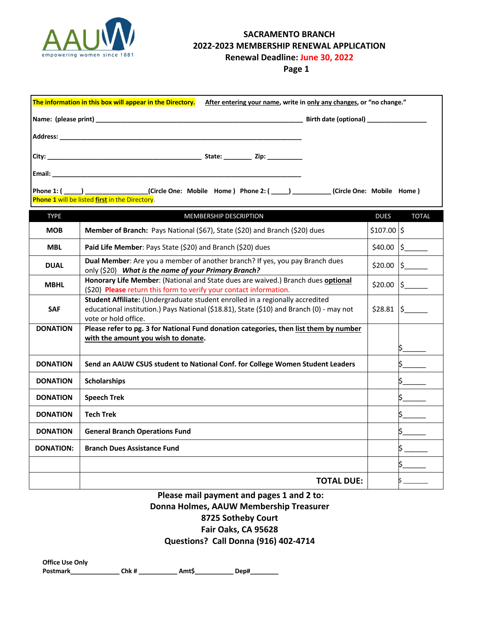

# **SACRAMENTO BRANCH 2022-2023 MEMBERSHIP RENEWAL APPLICATION**

**Renewal Deadline: June 30, 2022**

**Page 1**

| The information in this box will appear in the Directory.<br>After entering your name, write in only any changes, or "no change." |                                                                                                                                                                                                   |              |                    |  |  |
|-----------------------------------------------------------------------------------------------------------------------------------|---------------------------------------------------------------------------------------------------------------------------------------------------------------------------------------------------|--------------|--------------------|--|--|
|                                                                                                                                   |                                                                                                                                                                                                   |              |                    |  |  |
|                                                                                                                                   |                                                                                                                                                                                                   |              |                    |  |  |
|                                                                                                                                   |                                                                                                                                                                                                   |              |                    |  |  |
|                                                                                                                                   |                                                                                                                                                                                                   |              |                    |  |  |
|                                                                                                                                   |                                                                                                                                                                                                   |              |                    |  |  |
|                                                                                                                                   | Phone 1: (____) _______________(Circle One: Mobile Home) Phone 2: (____) ________(Circle One: Mobile Home)<br>Phone 1 will be listed first in the Directory.                                      |              |                    |  |  |
|                                                                                                                                   |                                                                                                                                                                                                   |              |                    |  |  |
| <b>TYPE</b>                                                                                                                       | <b>MEMBERSHIP DESCRIPTION</b>                                                                                                                                                                     | <b>DUES</b>  | <b>TOTAL</b>       |  |  |
| <b>MOB</b>                                                                                                                        | Member of Branch: Pays National (\$67), State (\$20) and Branch (\$20) dues                                                                                                                       | $$107.00$ \$ |                    |  |  |
| <b>MBL</b>                                                                                                                        | Paid Life Member: Pays State (\$20) and Branch (\$20) dues                                                                                                                                        |              | $$40.00$ $$$       |  |  |
| <b>DUAL</b>                                                                                                                       | Dual Member: Are you a member of another branch? If yes, you pay Branch dues<br>only (\$20) What is the name of your Primary Branch?                                                              | \$20.00      | $\frac{1}{2}$      |  |  |
| <b>MBHL</b>                                                                                                                       | Honorary Life Member: (National and State dues are waived.) Branch dues optional<br>(\$20) Please return this form to verify your contact information.                                            | \$20.00      | $\frac{1}{2}$      |  |  |
| <b>SAF</b>                                                                                                                        | Student Affiliate: (Undergraduate student enrolled in a regionally accredited<br>educational institution.) Pays National (\$18.81), State (\$10) and Branch (0) - may not<br>vote or hold office. |              | $$28.81$ $\mid$ \$ |  |  |
| <b>DONATION</b>                                                                                                                   | Please refer to pg. 3 for National Fund donation categories, then list them by number<br>with the amount you wish to donate.                                                                      |              |                    |  |  |
|                                                                                                                                   |                                                                                                                                                                                                   |              |                    |  |  |
| <b>DONATION</b>                                                                                                                   | Send an AAUW CSUS student to National Conf. for College Women Student Leaders                                                                                                                     |              |                    |  |  |
| <b>DONATION</b>                                                                                                                   | <b>Scholarships</b>                                                                                                                                                                               |              |                    |  |  |
| <b>DONATION</b>                                                                                                                   | <b>Speech Trek</b>                                                                                                                                                                                |              |                    |  |  |
| <b>DONATION</b>                                                                                                                   | <b>Tech Trek</b>                                                                                                                                                                                  |              |                    |  |  |
| <b>DONATION</b>                                                                                                                   | <b>General Branch Operations Fund</b>                                                                                                                                                             |              |                    |  |  |
| <b>DONATION:</b>                                                                                                                  | <b>Branch Dues Assistance Fund</b>                                                                                                                                                                |              |                    |  |  |
|                                                                                                                                   |                                                                                                                                                                                                   |              |                    |  |  |
|                                                                                                                                   | <b>TOTAL DUE:</b>                                                                                                                                                                                 |              |                    |  |  |

## **Please mail payment and pages 1 and 2 to: Donna Holmes, AAUW Membership Treasurer 8725 Sotheby Court Fair Oaks, CA 95628 Questions? Call Donna (916) 402-4714**

**Office Use Only Postmark\_\_\_\_\_\_\_\_\_\_\_\_\_\_ Chk # \_\_\_\_\_\_\_\_\_\_\_ Amt\$\_\_\_\_\_\_\_\_\_\_\_ Dep#\_\_\_\_\_\_\_\_**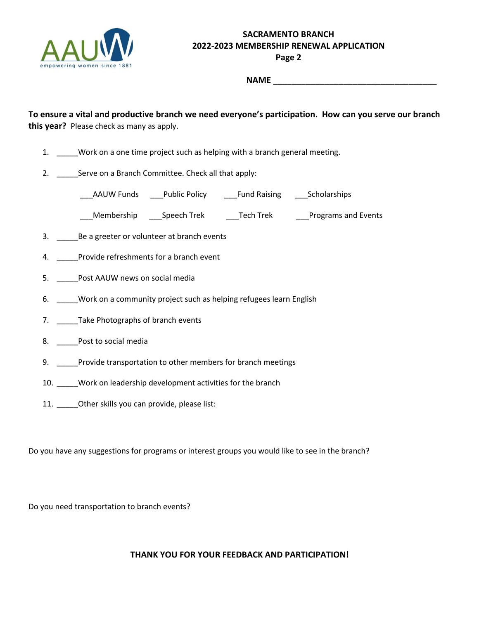

# **SACRAMENTO BRANCH 2022-2023 MEMBERSHIP RENEWAL APPLICATION**

**Page 2**

**NAME \_\_\_\_\_\_\_\_\_\_\_\_\_\_\_\_\_\_\_\_\_\_\_\_\_\_\_\_\_\_\_\_\_** 

**To ensure a vital and productive branch we need everyone's participation. How can you serve our branch this year?** Please check as many as apply.

- 1. \_\_\_\_\_Work on a one time project such as helping with a branch general meeting.
- 2. Serve on a Branch Committee. Check all that apply:

AAUW Funds Public Policy Fund Raising Scholarships

\_\_\_Membership \_\_\_Speech Trek \_\_\_Tech Trek \_\_\_Programs and Events

- 3. \_\_\_\_\_Be a greeter or volunteer at branch events
- 4. \_\_\_\_\_Provide refreshments for a branch event
- 5. \_\_\_\_\_Post AAUW news on social media
- 6. \_\_\_\_\_Work on a community project such as helping refugees learn English
- 7. \_\_\_\_\_\_Take Photographs of branch events
- 8. \_\_\_\_\_Post to social media
- 9. Provide transportation to other members for branch meetings
- 10. Work on leadership development activities for the branch
- 11. \_\_\_\_\_Other skills you can provide, please list:

Do you have any suggestions for programs or interest groups you would like to see in the branch?

Do you need transportation to branch events?

#### **THANK YOU FOR YOUR FEEDBACK AND PARTICIPATION!**